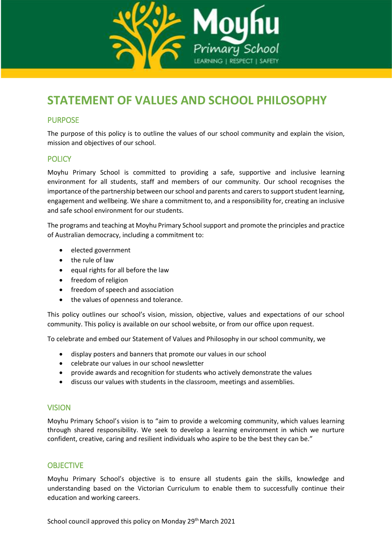

### **STATEMENT OF VALUES AND SCHOOL PHILOSOPHY**

### PURPOSE

The purpose of this policy is to outline the values of our school community and explain the vision, mission and objectives of our school.

### **POLICY**

Moyhu Primary School is committed to providing a safe, supportive and inclusive learning environment for all students, staff and members of our community. Our school recognises the importance of the partnership between our school and parents and carersto support student learning, engagement and wellbeing. We share a commitment to, and a responsibility for, creating an inclusive and safe school environment for our students.

The programs and teaching at Moyhu Primary School support and promote the principles and practice of Australian democracy, including a commitment to:

- elected government
- the rule of law
- equal rights for all before the law
- freedom of religion
- freedom of speech and association
- the values of openness and tolerance.

This policy outlines our school's vision, mission, objective, values and expectations of our school community. This policy is available on our school website, or from our office upon request.

To celebrate and embed our Statement of Values and Philosophy in our school community, we

- display posters and banners that promote our values in our school
- celebrate our values in our school newsletter
- provide awards and recognition for students who actively demonstrate the values
- discuss our values with students in the classroom, meetings and assemblies.

### VISION

Moyhu Primary School's vision is to "aim to provide a welcoming community, which values learning through shared responsibility. We seek to develop a learning environment in which we nurture confident, creative, caring and resilient individuals who aspire to be the best they can be."

### OBJECTIVE

Moyhu Primary School's objective is to ensure all students gain the skills, knowledge and understanding based on the Victorian Curriculum to enable them to successfully continue their education and working careers.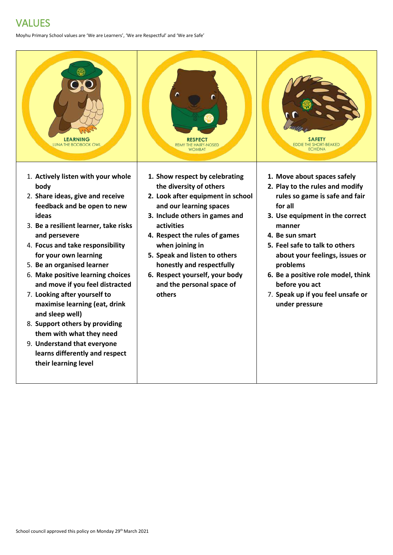# VALUES

Moyhu Primary School values are 'We are Learners', 'We are Respectful' and 'We are Safe'

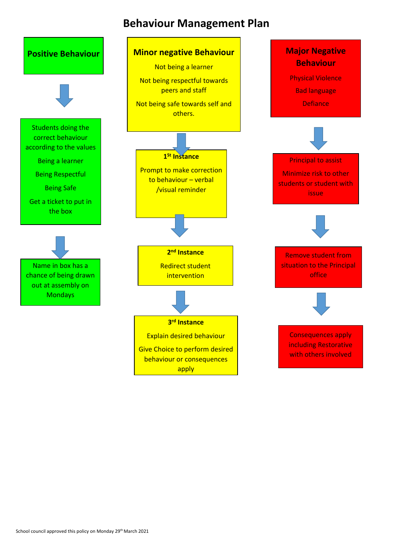## **Behaviour Management Plan**

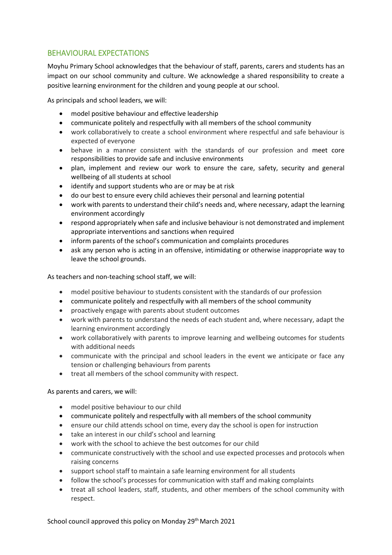### BEHAVIOURAL EXPECTATIONS

Moyhu Primary School acknowledges that the behaviour of staff, parents, carers and students has an impact on our school community and culture. We acknowledge a shared responsibility to create a positive learning environment for the children and young people at our school.

As principals and school leaders, we will:

- model positive behaviour and effective leadership
- communicate politely and respectfully with all members of the school community
- work collaboratively to create a school environment where respectful and safe behaviour is expected of everyone
- behave in a manner consistent with the standards of our profession and meet core responsibilities to provide safe and inclusive environments
- plan, implement and review our work to ensure the care, safety, security and general wellbeing of all students at school
- identify and support students who are or may be at risk
- do our best to ensure every child achieves their personal and learning potential
- work with parents to understand their child's needs and, where necessary, adapt the learning environment accordingly
- respond appropriately when safe and inclusive behaviour is not demonstrated and implement appropriate interventions and sanctions when required
- inform parents of the school's communication and complaints procedures
- ask any person who is acting in an offensive, intimidating or otherwise inappropriate way to leave the school grounds.

As teachers and non-teaching school staff, we will:

- model positive behaviour to students consistent with the standards of our profession
- communicate politely and respectfully with all members of the school community
- proactively engage with parents about student outcomes
- work with parents to understand the needs of each student and, where necessary, adapt the learning environment accordingly
- work collaboratively with parents to improve learning and wellbeing outcomes for students with additional needs
- communicate with the principal and school leaders in the event we anticipate or face any tension or challenging behaviours from parents
- treat all members of the school community with respect.

#### As parents and carers, we will:

- model positive behaviour to our child
- communicate politely and respectfully with all members of the school community
- ensure our child attends school on time, every day the school is open for instruction
- take an interest in our child's school and learning
- work with the school to achieve the best outcomes for our child
- communicate constructively with the school and use expected processes and protocols when raising concerns
- support school staff to maintain a safe learning environment for all students
- follow the school's processes for communication with staff and making complaints
- treat all school leaders, staff, students, and other members of the school community with respect.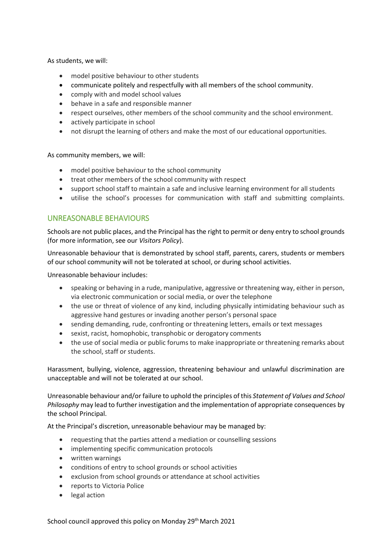As students, we will:

- model positive behaviour to other students
- communicate politely and respectfully with all members of the school community.
- comply with and model school values
- behave in a safe and responsible manner
- respect ourselves, other members of the school community and the school environment.
- actively participate in school
- not disrupt the learning of others and make the most of our educational opportunities.

As community members, we will:

- model positive behaviour to the school community
- treat other members of the school community with respect
- support school staff to maintain a safe and inclusive learning environment for all students
- utilise the school's processes for communication with staff and submitting complaints.

### UNREASONABLE BEHAVIOURS

Schools are not public places, and the Principal has the right to permit or deny entry to school grounds (for more information, see our *Visitors Policy*).

Unreasonable behaviour that is demonstrated by school staff, parents, carers, students or members of our school community will not be tolerated at school, or during school activities.

Unreasonable behaviour includes:

- speaking or behaving in a rude, manipulative, aggressive or threatening way, either in person, via electronic communication or social media, or over the telephone
- the use or threat of violence of any kind, including physically intimidating behaviour such as aggressive hand gestures or invading another person's personal space
- sending demanding, rude, confronting or threatening letters, emails or text messages
- sexist, racist, homophobic, transphobic or derogatory comments
- the use of social media or public forums to make inappropriate or threatening remarks about the school, staff or students.

Harassment, bullying, violence, aggression, threatening behaviour and unlawful discrimination are unacceptable and will not be tolerated at our school.

Unreasonable behaviour and/or failure to uphold the principles of this *Statement of Values and School Philosophy* may lead to further investigation and the implementation of appropriate consequences by the school Principal.

At the Principal's discretion, unreasonable behaviour may be managed by:

- requesting that the parties attend a mediation or counselling sessions
- implementing specific communication protocols
- written warnings
- conditions of entry to school grounds or school activities
- exclusion from school grounds or attendance at school activities
- reports to Victoria Police
- legal action